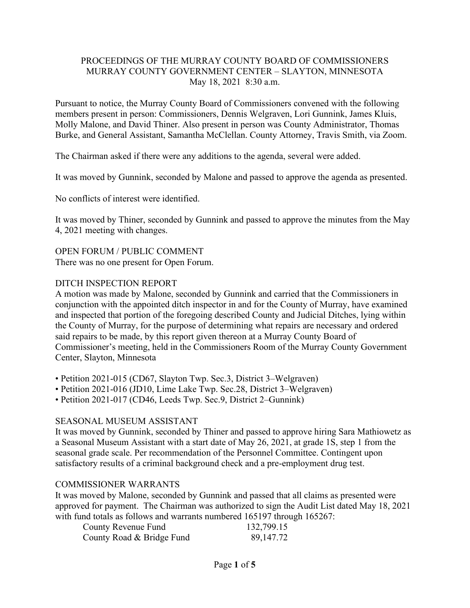## PROCEEDINGS OF THE MURRAY COUNTY BOARD OF COMMISSIONERS MURRAY COUNTY GOVERNMENT CENTER – SLAYTON, MINNESOTA May 18, 2021 8:30 a.m.

Pursuant to notice, the Murray County Board of Commissioners convened with the following members present in person: Commissioners, Dennis Welgraven, Lori Gunnink, James Kluis, Molly Malone, and David Thiner. Also present in person was County Administrator, Thomas Burke, and General Assistant, Samantha McClellan. County Attorney, Travis Smith, via Zoom.

The Chairman asked if there were any additions to the agenda, several were added.

It was moved by Gunnink, seconded by Malone and passed to approve the agenda as presented.

No conflicts of interest were identified.

It was moved by Thiner, seconded by Gunnink and passed to approve the minutes from the May 4, 2021 meeting with changes.

OPEN FORUM / PUBLIC COMMENT There was no one present for Open Forum.

## DITCH INSPECTION REPORT

A motion was made by Malone, seconded by Gunnink and carried that the Commissioners in conjunction with the appointed ditch inspector in and for the County of Murray, have examined and inspected that portion of the foregoing described County and Judicial Ditches, lying within the County of Murray, for the purpose of determining what repairs are necessary and ordered said repairs to be made, by this report given thereon at a Murray County Board of Commissioner's meeting, held in the Commissioners Room of the Murray County Government Center, Slayton, Minnesota

• Petition 2021-015 (CD67, Slayton Twp. Sec.3, District 3–Welgraven)

• Petition 2021-016 (JD10, Lime Lake Twp. Sec.28, District 3–Welgraven)

• Petition 2021-017 (CD46, Leeds Twp. Sec.9, District 2–Gunnink)

## SEASONAL MUSEUM ASSISTANT

It was moved by Gunnink, seconded by Thiner and passed to approve hiring Sara Mathiowetz as a Seasonal Museum Assistant with a start date of May 26, 2021, at grade 1S, step 1 from the seasonal grade scale. Per recommendation of the Personnel Committee. Contingent upon satisfactory results of a criminal background check and a pre-employment drug test.

#### COMMISSIONER WARRANTS

It was moved by Malone, seconded by Gunnink and passed that all claims as presented were approved for payment. The Chairman was authorized to sign the Audit List dated May 18, 2021 with fund totals as follows and warrants numbered 165197 through 165267:

| County Revenue Fund       | 132,799.15 |
|---------------------------|------------|
| County Road & Bridge Fund | 89,147.72  |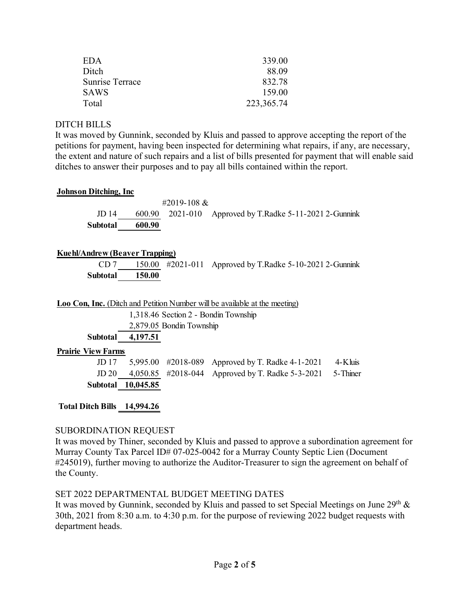| <b>EDA</b>             | 339.00       |
|------------------------|--------------|
| Ditch                  | 88.09        |
| <b>Sunrise Terrace</b> | 832.78       |
| <b>SAWS</b>            | 159.00       |
| Total                  | 223, 365. 74 |

#### DITCH BILLS

It was moved by Gunnink, seconded by Kluis and passed to approve accepting the report of the petitions for payment, having been inspected for determining what repairs, if any, are necessary, the extent and nature of such repairs and a list of bills presented for payment that will enable said ditches to answer their purposes and to pay all bills contained within the report.

#### **Johnson Ditching, Inc**

JD 14 600.90 2021-010 Approved by T.Radke 5-11-2021 2-Gunnink #2019-108 & **Subtotal 600.90**

#### **Kuehl/Andrew (Beaver Trapping)**

CD 7 150.00 #2021-011 Approved by T.Radke 5-10-2021 2-Gunnink **Subtotal 150.00**

**Loo Con, Inc.** (Ditch and Petition Number will be available at the meeting) 1,318.46 Section 2 - Bondin Township 2,879.05 Bondin Township

**Subtotal 4,197.51**

#### **Prairie View Farms**

JD 17 5,995.00 #2018-089 Approved by T. Radke 4-1-2021 4-Kluis JD 20 4,050.85 #2018-044 Approved by T. Radke 5-3-2021 5-Thiner **Subtotal 10,045.85**

#### **Total Ditch Bills 14,994.26**

## SUBORDINATION REQUEST

It was moved by Thiner, seconded by Kluis and passed to approve a subordination agreement for Murray County Tax Parcel ID# 07-025-0042 for a Murray County Septic Lien (Document #245019), further moving to authorize the Auditor-Treasurer to sign the agreement on behalf of the County.

## SET 2022 DEPARTMENTAL BUDGET MEETING DATES

It was moved by Gunnink, seconded by Kluis and passed to set Special Meetings on June  $29<sup>th</sup>$  & 30th, 2021 from 8:30 a.m. to 4:30 p.m. for the purpose of reviewing 2022 budget requests with department heads.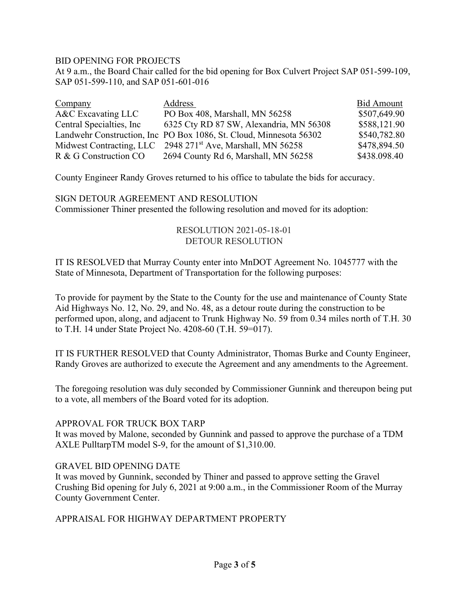#### BID OPENING FOR PROJECTS

At 9 a.m., the Board Chair called for the bid opening for Box Culvert Project SAP 051-599-109, SAP 051-599-110, and SAP 051-601-016

| Company                   | Address                                                                 | <b>Bid Amount</b> |
|---------------------------|-------------------------------------------------------------------------|-------------------|
| A&C Excavating LLC        | PO Box 408, Marshall, MN 56258                                          | \$507,649.90      |
| Central Specialties, Inc. | 6325 Cty RD 87 SW, Alexandria, MN 56308                                 | \$588,121.90      |
|                           | Landwehr Construction, Inc PO Box 1086, St. Cloud, Minnesota 56302      | \$540,782.80      |
|                           | Midwest Contracting, LLC 2948 271 <sup>st</sup> Ave, Marshall, MN 56258 | \$478,894.50      |
| R & G Construction CO     | 2694 County Rd 6, Marshall, MN 56258                                    | \$438.098.40      |

County Engineer Randy Groves returned to his office to tabulate the bids for accuracy.

SIGN DETOUR AGREEMENT AND RESOLUTION Commissioner Thiner presented the following resolution and moved for its adoption:

## RESOLUTION 2021-05-18-01 DETOUR RESOLUTION

IT IS RESOLVED that Murray County enter into MnDOT Agreement No. 1045777 with the State of Minnesota, Department of Transportation for the following purposes:

To provide for payment by the State to the County for the use and maintenance of County State Aid Highways No. 12, No. 29, and No. 48, as a detour route during the construction to be performed upon, along, and adjacent to Trunk Highway No. 59 from 0.34 miles north of T.H. 30 to T.H. 14 under State Project No. 4208-60 (T.H. 59=017).

IT IS FURTHER RESOLVED that County Administrator, Thomas Burke and County Engineer, Randy Groves are authorized to execute the Agreement and any amendments to the Agreement.

The foregoing resolution was duly seconded by Commissioner Gunnink and thereupon being put to a vote, all members of the Board voted for its adoption.

#### APPROVAL FOR TRUCK BOX TARP

It was moved by Malone, seconded by Gunnink and passed to approve the purchase of a TDM AXLE PulltarpTM model S-9, for the amount of \$1,310.00.

#### GRAVEL BID OPENING DATE

It was moved by Gunnink, seconded by Thiner and passed to approve setting the Gravel Crushing Bid opening for July 6, 2021 at 9:00 a.m., in the Commissioner Room of the Murray County Government Center.

## APPRAISAL FOR HIGHWAY DEPARTMENT PROPERTY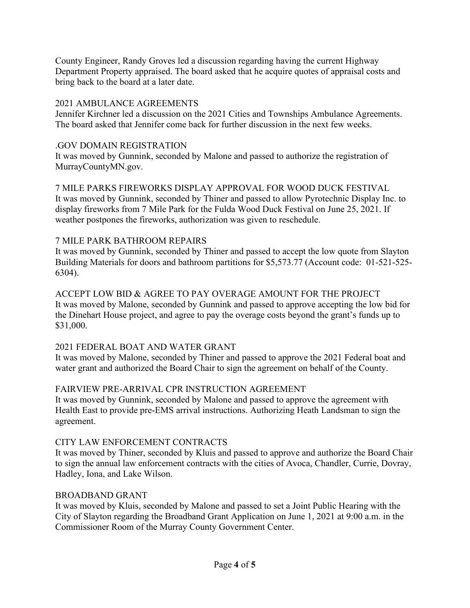County Engineer, Randy Groves led a discussion regarding having the current Highway Department Property appraised. The board asked that he acquire quotes of appraisal costs and bring back to the board at a later date.

## 2021 AMBULANCE AGREEMENTS

Jennifer Kirchner led a discussion on the 2021 Cities and Townships Ambulance Agreements. The board asked that Jennifer come back for further discussion in the next few weeks.

## .GOV DOMAIN REGISTRATION

It was moved by Gunnink, seconded by Malone and passed to authorize the registration of MurrayCountyMN.gov.

7 MILE PARKS FIREWORKS DISPLAY APPROVAL FOR WOOD DUCK FESTIVAL It was moved by Gunnink, seconded by Thiner and passed to allow Pyrotechnic Display Inc. to display fireworks from 7 Mile Park for the Fulda Wood Duck Festival on June 25, 2021. If weather postpones the fireworks, authorization was given to reschedule.

## 7 MILE PARK BATHROOM REPAIRS

It was moved by Gunnink, seconded by Thiner and passed to accept the low quote from Slayton Building Materials for doors and bathroom partitions for \$5,573.77 (Account code: 01-521-525- 6304).

ACCEPT LOW BID & AGREE TO PAY OVERAGE AMOUNT FOR THE PROJECT It was moved by Malone, seconded by Gunnink and passed to approve accepting the low bid for the Dinehart House project, and agree to pay the overage costs beyond the grant's funds up to \$31,000.

## 2021 FEDERAL BOAT AND WATER GRANT

It was moved by Malone, seconded by Thiner and passed to approve the 2021 Federal boat and water grant and authorized the Board Chair to sign the agreement on behalf of the County.

# FAIRVIEW PRE-ARRIVAL CPR INSTRUCTION AGREEMENT

It was moved by Gunnink, seconded by Malone and passed to approve the agreement with Health East to provide pre-EMS arrival instructions. Authorizing Heath Landsman to sign the agreement.

## CITY LAW ENFORCEMENT CONTRACTS

It was moved by Thiner, seconded by Kluis and passed to approve and authorize the Board Chair to sign the annual law enforcement contracts with the cities of Avoca, Chandler, Currie, Dovray, Hadley, Iona, and Lake Wilson.

## BROADBAND GRANT

It was moved by Kluis, seconded by Malone and passed to set a Joint Public Hearing with the City of Slayton regarding the Broadband Grant Application on June 1, 2021 at 9:00 a.m. in the Commissioner Room of the Murray County Government Center.